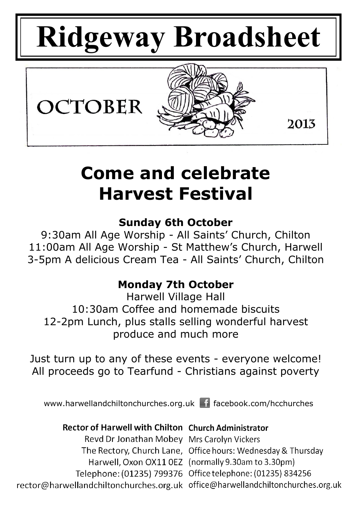# **Ridgeway Broadsheet**



# **Come and celebrate Harvest Festival**

# **Sunday 6th October**

9:30am All Age Worship - All Saints' Church, Chilton 11:00am All Age Worship - St Matthew's Church, Harwell 3-5pm A delicious Cream Tea - All Saints' Church, Chilton

# **Monday 7th October**

Harwell Village Hall 10:30am Coffee and homemade biscuits 12-2pm Lunch, plus stalls selling wonderful harvest produce and much more

Just turn up to any of these events - everyone welcome! All proceeds go to Tearfund - Christians against poverty

www.harwellandchiltonchurches.org.uk facebook.com/hcchurches

# **Rector of Harwell with Chilton Church Administrator**

Revd Dr Jonathan Mobey Mrs Carolyn Vickers The Rectory, Church Lane, Office hours: Wednesday & Thursday Harwell, Oxon OX11 0EZ (normally 9.30am to 3.30pm) Telephone: (01235) 799376 Office telephone: (01235) 834256 rector@harwellandchiltonchurches.org.uk office@harwellandchiltonchurches.org.uk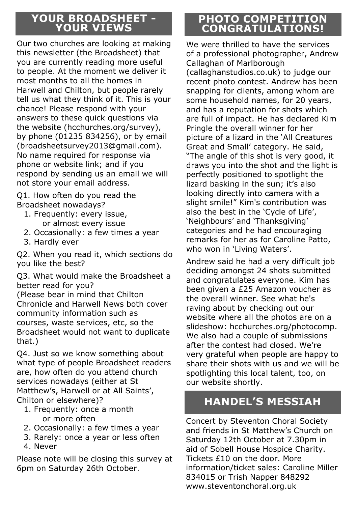# **YOUR BROADSHEET - YOUR VIEWS**

Our two churches are looking at making this newsletter (the Broadsheet) that you are currently reading more useful to people. At the moment we deliver it most months to all the homes in Harwell and Chilton, but people rarely tell us what they think of it. This is your chance! Please respond with your answers to these quick questions via the website (hcchurches.org/survey), by phone (01235 834256), or by email (broadsheetsurvey2013@gmail.com). No name required for response via phone or website link; and if you respond by sending us an email we will not store your email address.

Q1. How often do you read the Broadsheet nowadays?

- 1. Frequently: every issue, or almost every issue
- 2. Occasionally: a few times a year
- 3. Hardly ever

Q2. When you read it, which sections do you like the best?

Q3. What would make the Broadsheet a better read for you?

(Please bear in mind that Chilton Chronicle and Harwell News both cover community information such as courses, waste services, etc, so the Broadsheet would not want to duplicate that.)

Q4. Just so we know something about what type of people Broadsheet readers are, how often do you attend church services nowadays (either at St Matthew's, Harwell or at All Saints', Chilton or elsewhere)?

- 1. Frequently: once a month or more often
- 2. Occasionally: a few times a year
- 3. Rarely: once a year or less often
- 4. Never

Please note will be closing this survey at 6pm on Saturday 26th October.

# **PHOTO COMPETITION CONGRATULATIONS!**

We were thrilled to have the services of a professional photographer, Andrew Callaghan of Marlborough (callaghanstudios.co.uk) to judge our recent photo contest. Andrew has been snapping for clients, among whom are some household names, for 20 years, and has a reputation for shots which are full of impact. He has declared Kim Pringle the overall winner for her picture of a lizard in the 'All Creatures Great and Small' category. He said, "The angle of this shot is very good, it draws you into the shot and the light is perfectly positioned to spotlight the lizard basking in the sun; it's also looking directly into camera with a slight smile!" Kim's contribution was also the best in the 'Cycle of Life', 'Neighbours' and 'Thanksgiving' categories and he had encouraging remarks for her as for Caroline Patto, who won in 'Living Waters'.

Andrew said he had a very difficult job deciding amongst 24 shots submitted and congratulates everyone. Kim has been given a £25 Amazon voucher as the overall winner. See what he's raving about by checking out our website where all the photos are on a slideshow: hcchurches.org/photocomp. We also had a couple of submissions after the contest had closed. We're very grateful when people are happy to share their shots with us and we will be spotlighting this local talent, too, on our website shortly.

# **HANDEL'S MESSIAH**

Concert by Steventon Choral Society and friends in St Matthew's Church on Saturday 12th October at 7.30pm in aid of Sobell House Hospice Charity. Tickets £10 on the door. More information/ticket sales: Caroline Miller 834015 or Trish Napper 848292 www.steventonchoral.org.uk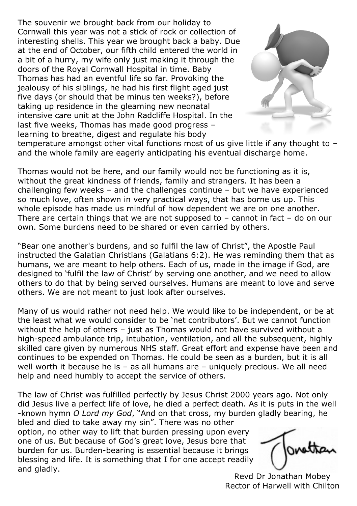The souvenir we brought back from our holiday to Cornwall this year was not a stick of rock or collection of interesting shells. This year we brought back a baby. Due at the end of October, our fifth child entered the world in a bit of a hurry, my wife only just making it through the doors of the Royal Cornwall Hospital in time. Baby Thomas has had an eventful life so far. Provoking the jealousy of his siblings, he had his first flight aged just five days (or should that be minus ten weeks?), before taking up residence in the gleaming new neonatal intensive care unit at the John Radcliffe Hospital. In the last five weeks, Thomas has made good progress – learning to breathe, digest and regulate his body



temperature amongst other vital functions most of us give little if any thought to – and the whole family are eagerly anticipating his eventual discharge home.

Thomas would not be here, and our family would not be functioning as it is, without the great kindness of friends, family and strangers. It has been a challenging few weeks – and the challenges continue – but we have experienced so much love, often shown in very practical ways, that has borne us up. This whole episode has made us mindful of how dependent we are on one another. There are certain things that we are not supposed to – cannot in fact – do on our own. Some burdens need to be shared or even carried by others.

"Bear one another's burdens, and so fulfil the law of Christ", the Apostle Paul instructed the Galatian Christians (Galatians 6:2). He was reminding them that as humans, we are meant to help others. Each of us, made in the image if God, are designed to 'fulfil the law of Christ' by serving one another, and we need to allow others to do that by being served ourselves. Humans are meant to love and serve others. We are not meant to just look after ourselves.

Many of us would rather not need help. We would like to be independent, or be at the least what we would consider to be 'net contributors'. But we cannot function without the help of others – just as Thomas would not have survived without a high-speed ambulance trip, intubation, ventilation, and all the subsequent, highly skilled care given by numerous NHS staff. Great effort and expense have been and continues to be expended on Thomas. He could be seen as a burden, but it is all well worth it because he is  $-$  as all humans are  $-$  uniquely precious. We all need help and need humbly to accept the service of others.

The law of Christ was fulfilled perfectly by Jesus Christ 2000 years ago. Not only did Jesus live a perfect life of love, he died a perfect death. As it is puts in the well -known hymn *O Lord my God*, "And on that cross, my burden gladly bearing, he bled and died to take away my sin". There was no other

option, no other way to lift that burden pressing upon every one of us. But because of God's great love, Jesus bore that burden for us. Burden-bearing is essential because it brings blessing and life. It is something that I for one accept readily and gladly.

nnatta

Revd Dr Jonathan Mobey Rector of Harwell with Chilton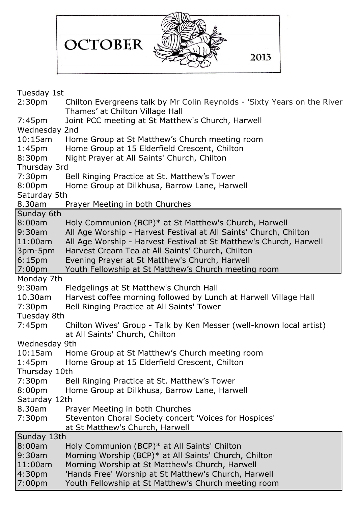|                                     | OCTOBER<br>2013                                                                                                                         |
|-------------------------------------|-----------------------------------------------------------------------------------------------------------------------------------------|
|                                     |                                                                                                                                         |
| Tuesday 1st                         |                                                                                                                                         |
| 2:30 <sub>pm</sub>                  | Chilton Evergreens talk by Mr Colin Reynolds - 'Sixty Years on the River<br>Thames' at Chilton Village Hall                             |
| 7:45 <sub>pm</sub>                  | Joint PCC meeting at St Matthew's Church, Harwell                                                                                       |
| Wednesday 2nd                       |                                                                                                                                         |
| $10:15$ am                          | Home Group at St Matthew's Church meeting room                                                                                          |
| 1:45 <sub>pm</sub>                  | Home Group at 15 Elderfield Crescent, Chilton                                                                                           |
| 8:30 <sub>pm</sub>                  | Night Prayer at All Saints' Church, Chilton                                                                                             |
| Thursday 3rd<br>7:30pm              | Bell Ringing Practice at St. Matthew's Tower                                                                                            |
| 8:00 <sub>pm</sub>                  | Home Group at Dilkhusa, Barrow Lane, Harwell                                                                                            |
| Saturday 5th                        |                                                                                                                                         |
| 8.30am                              | Prayer Meeting in both Churches                                                                                                         |
| Sunday 6th                          |                                                                                                                                         |
| 8:00am                              | Holy Communion (BCP)* at St Matthew's Church, Harwell                                                                                   |
| 9:30am<br>$11:00$ am                | All Age Worship - Harvest Festival at All Saints' Church, Chilton<br>All Age Worship - Harvest Festival at St Matthew's Church, Harwell |
| 3pm-5pm                             | Harvest Cream Tea at All Saints' Church, Chilton                                                                                        |
| 6:15 <sub>pm</sub>                  | Evening Prayer at St Matthew's Church, Harwell                                                                                          |
| 7:00 <sub>pm</sub>                  | Youth Fellowship at St Matthew's Church meeting room                                                                                    |
| Monday 7th                          |                                                                                                                                         |
| 9:30am                              | Fledgelings at St Matthew's Church Hall                                                                                                 |
| 10.30am<br>7:30pm                   | Harvest coffee morning followed by Lunch at Harwell Village Hall<br>Bell Ringing Practice at All Saints' Tower                          |
| Tuesday 8th                         |                                                                                                                                         |
| 7:45 <sub>pm</sub>                  | Chilton Wives' Group - Talk by Ken Messer (well-known local artist)                                                                     |
|                                     | at All Saints' Church, Chilton                                                                                                          |
| Wednesday 9th                       |                                                                                                                                         |
| $10:15$ am                          | Home Group at St Matthew's Church meeting room                                                                                          |
| 1:45 <sub>pm</sub><br>Thursday 10th | Home Group at 15 Elderfield Crescent, Chilton                                                                                           |
| 7:30pm                              | Bell Ringing Practice at St. Matthew's Tower                                                                                            |
| 8:00pm                              | Home Group at Dilkhusa, Barrow Lane, Harwell                                                                                            |
| Saturday 12th                       |                                                                                                                                         |
| 8.30am                              | Prayer Meeting in both Churches                                                                                                         |
| 7:30pm                              | Steventon Choral Society concert 'Voices for Hospices'                                                                                  |
| Sunday 13th                         | at St Matthew's Church, Harwell                                                                                                         |
| 8:00am                              | Holy Communion (BCP)* at All Saints' Chilton                                                                                            |
| 9:30am                              | Morning Worship (BCP)* at All Saints' Church, Chilton                                                                                   |
| 11:00am                             | Morning Worship at St Matthew's Church, Harwell                                                                                         |
| 4:30pm                              | 'Hands Free' Worship at St Matthew's Church, Harwell                                                                                    |
| 7:00pm                              | Youth Fellowship at St Matthew's Church meeting room                                                                                    |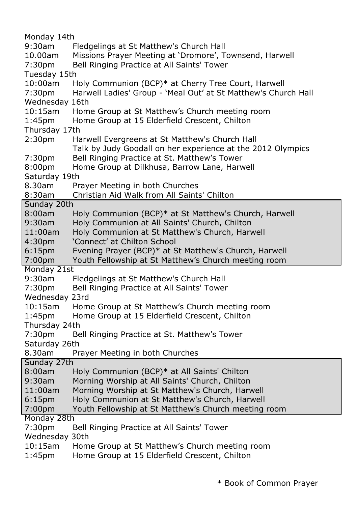Monday 14th 9:30am Fledgelings at St Matthew's Church Hall 10.00am Missions Prayer Meeting at 'Dromore', Townsend, Harwell 7:30pm Bell Ringing Practice at All Saints' Tower Tuesday 15th 10:00am Holy Communion (BCP)\* at Cherry Tree Court, Harwell 7:30pm Harwell Ladies' Group - 'Meal Out' at St Matthew's Church Hall Wednesday 16th 10:15am Home Group at St Matthew's Church meeting room 1:45pm Home Group at 15 Elderfield Crescent, Chilton Thursday 17th 2:30pm Harwell Evergreens at St Matthew's Church Hall Talk by Judy Goodall on her experience at the 2012 Olympics 7:30pm Bell Ringing Practice at St. Matthew's Tower 8:00pm Home Group at Dilkhusa, Barrow Lane, Harwell Saturday 19th 8.30am Prayer Meeting in both Churches 8:30am Christian Aid Walk from All Saints' Chilton Sunday 20th 8:00am Holy Communion (BCP)\* at St Matthew's Church, Harwell 9:30am Holy Communion at All Saints' Church, Chilton 11:00am Holy Communion at St Matthew's Church, Harwell 4:30pm 'Connect' at Chilton School 6:15pm Evening Prayer (BCP)\* at St Matthew's Church, Harwell 7:00pm Youth Fellowship at St Matthew's Church meeting room Monday 21st 9:30am Fledgelings at St Matthew's Church Hall 7:30pm Bell Ringing Practice at All Saints' Tower Wednesday 23rd 10:15am Home Group at St Matthew's Church meeting room 1:45pm Home Group at 15 Elderfield Crescent, Chilton Thursday 24th 7:30pm Bell Ringing Practice at St. Matthew's Tower Saturday 26th 8.30am Prayer Meeting in both Churches Sunday 27th 8:00am Holy Communion (BCP)\* at All Saints' Chilton 9:30am Morning Worship at All Saints' Church, Chilton 11:00am Morning Worship at St Matthew's Church, Harwell 6:15pm Holy Communion at St Matthew's Church, Harwell 7:00pm Youth Fellowship at St Matthew's Church meeting room Monday 28th 7:30pm Bell Ringing Practice at All Saints' Tower Wednesday 30th 10:15am Home Group at St Matthew's Church meeting room 1:45pm Home Group at 15 Elderfield Crescent, Chilton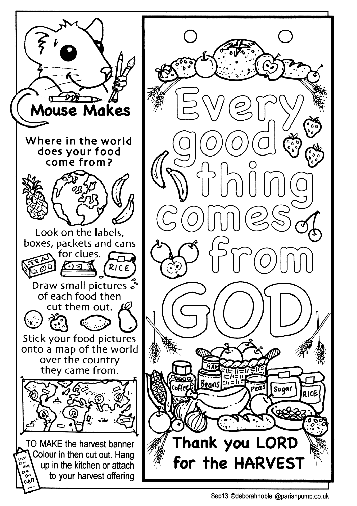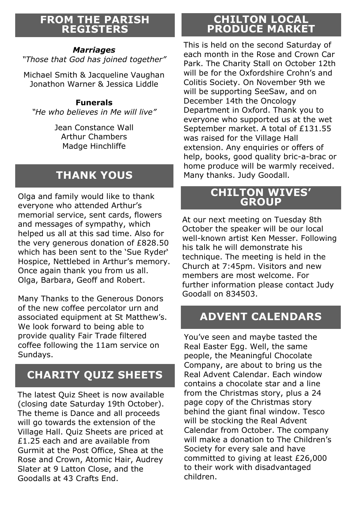#### **FROM THE PARISH REGISTERS**

#### *Marriages*

*"Those that God has joined together"*

Michael Smith & Jacqueline Vaughan Jonathon Warner & Jessica Liddle

#### **Funerals**

*"He who believes in Me will live"*

Jean Constance Wall Arthur Chambers Madge Hinchliffe

# **THANK YOUS**

Olga and family would like to thank everyone who attended Arthur's memorial service, sent cards, flowers and messages of sympathy, which helped us all at this sad time. Also for the very generous donation of £828.50 which has been sent to the 'Sue Ryder' Hospice, Nettlebed in Arthur's memory. Once again thank you from us all. Olga, Barbara, Geoff and Robert.

Many Thanks to the Generous Donors of the new coffee percolator urn and associated equipment at St Matthew's. We look forward to being able to provide quality Fair Trade filtered coffee following the 11am service on Sundays.

# **CHARITY QUIZ SHEETS**

The latest Quiz Sheet is now available (closing date Saturday 19th October). The theme is Dance and all proceeds will go towards the extension of the Village Hall. Quiz Sheets are priced at £1.25 each and are available from Gurmit at the Post Office, Shea at the Rose and Crown, Atomic Hair, Audrey Slater at 9 Latton Close, and the Goodalls at 43 Crafts End.

# **CHILTON LOCAL PRODUCE MARKET**

This is held on the second Saturday of each month in the Rose and Crown Car Park. The Charity Stall on October 12th will be for the Oxfordshire Crohn's and Colitis Society. On November 9th we will be supporting SeeSaw, and on December 14th the Oncology Department in Oxford. Thank you to everyone who supported us at the wet September market. A total of £131.55 was raised for the Village Hall extension. Any enquiries or offers of help, books, good quality bric-a-brac or home produce will be warmly received. Many thanks. Judy Goodall.

#### **CHILTON WIVES' GROUP**

At our next meeting on Tuesday 8th October the speaker will be our local well-known artist Ken Messer. Following his talk he will demonstrate his technique. The meeting is held in the Church at 7:45pm. Visitors and new members are most welcome. For further information please contact Judy Goodall on 834503.

# **ADVENT CALENDARS**

You've seen and maybe tasted the Real Easter Egg. Well, the same people, the Meaningful Chocolate Company, are about to bring us the Real Advent Calendar. Each window contains a chocolate star and a line from the Christmas story, plus a 24 page copy of the Christmas story behind the giant final window. Tesco will be stocking the Real Advent Calendar from October. The company will make a donation to The Children's Society for every sale and have committed to giving at least £26,000 to their work with disadvantaged children.